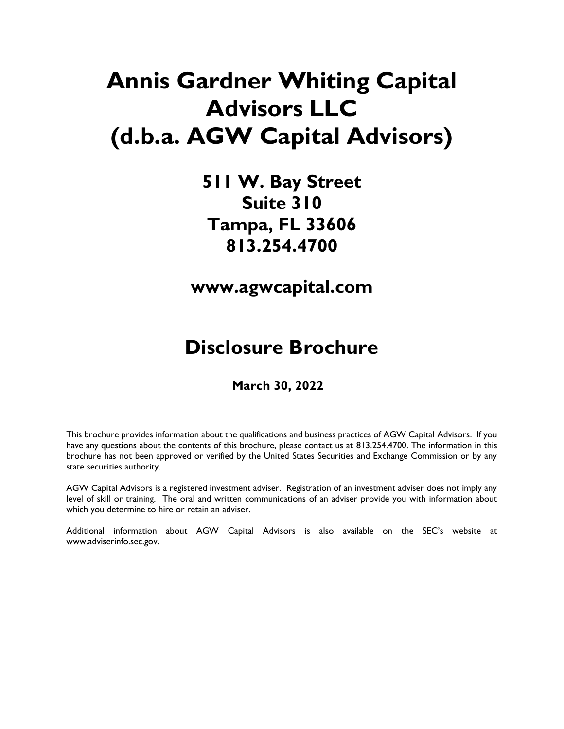# **Annis Gardner Whiting Capital Advisors LLC (d.b.a. AGW Capital Advisors)**

**511 W. Bay Street Suite 310 Tampa, FL 33606 813.254.4700**

**www.agwcapital.com**

# **Disclosure Brochure**

#### **March 30, 2022**

This brochure provides information about the qualifications and business practices of AGW Capital Advisors. If you have any questions about the contents of this brochure, please contact us at 813.254.4700. The information in this brochure has not been approved or verified by the United States Securities and Exchange Commission or by any state securities authority.

AGW Capital Advisors is a registered investment adviser. Registration of an investment adviser does not imply any level of skill or training. The oral and written communications of an adviser provide you with information about which you determine to hire or retain an adviser.

Additional information about AGW Capital Advisors is also available on the SEC's website at [www.adviserinfo.sec.gov.](http://www.adviserinfo.sec.gov/)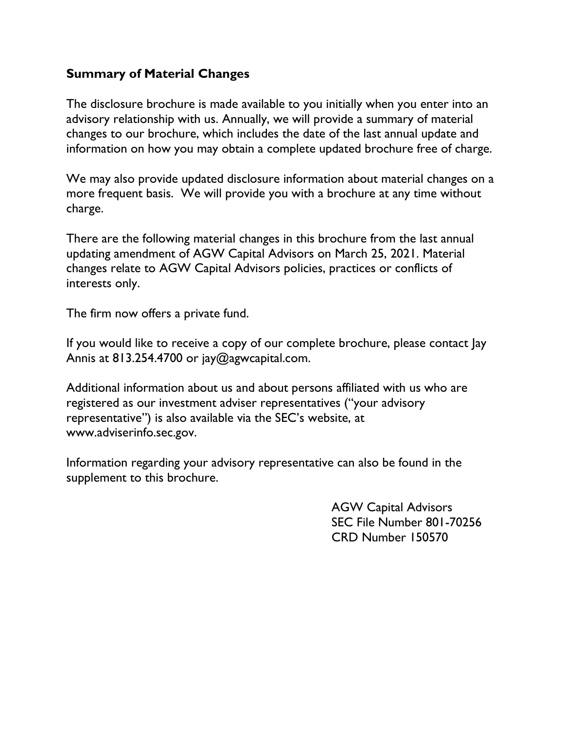#### **Summary of Material Changes**

The disclosure brochure is made available to you initially when you enter into an advisory relationship with us. Annually, we will provide a summary of material changes to our brochure, which includes the date of the last annual update and information on how you may obtain a complete updated brochure free of charge.

We may also provide updated disclosure information about material changes on a more frequent basis. We will provide you with a brochure at any time without charge.

There are the following material changes in this brochure from the last annual updating amendment of AGW Capital Advisors on March 25, 2021. Material changes relate to AGW Capital Advisors policies, practices or conflicts of interests only.

The firm now offers a private fund.

If you would like to receive a copy of our complete brochure, please contact Jay Annis at 813.254.4700 or jay@agwcapital.com.

Additional information about us and about persons affiliated with us who are registered as our investment adviser representatives ("your advisory representative") is also available via the SEC's website, at www.adviserinfo.sec.gov.

Information regarding your advisory representative can also be found in the supplement to this brochure.

> AGW Capital Advisors SEC File Number 801-70256 CRD Number 150570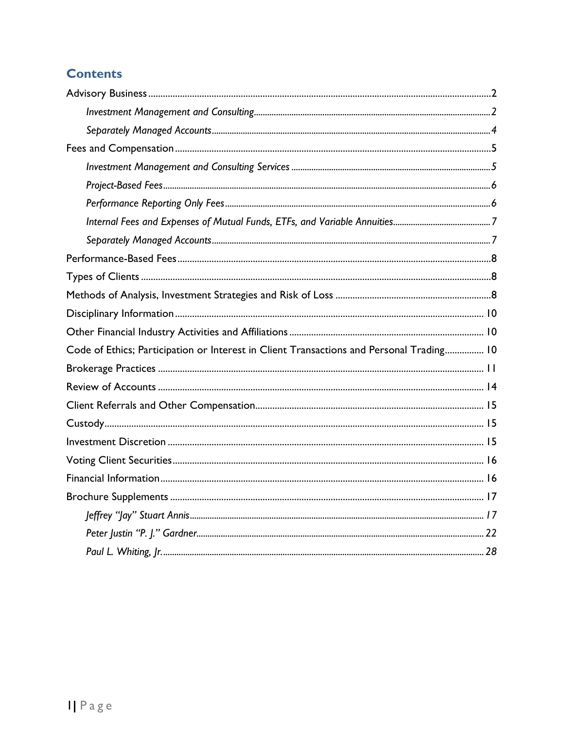# **Contents**

| Code of Ethics; Participation or Interest in Client Transactions and Personal Trading 10 |  |
|------------------------------------------------------------------------------------------|--|
|                                                                                          |  |
|                                                                                          |  |
|                                                                                          |  |
|                                                                                          |  |
|                                                                                          |  |
|                                                                                          |  |
|                                                                                          |  |
|                                                                                          |  |
|                                                                                          |  |
|                                                                                          |  |
|                                                                                          |  |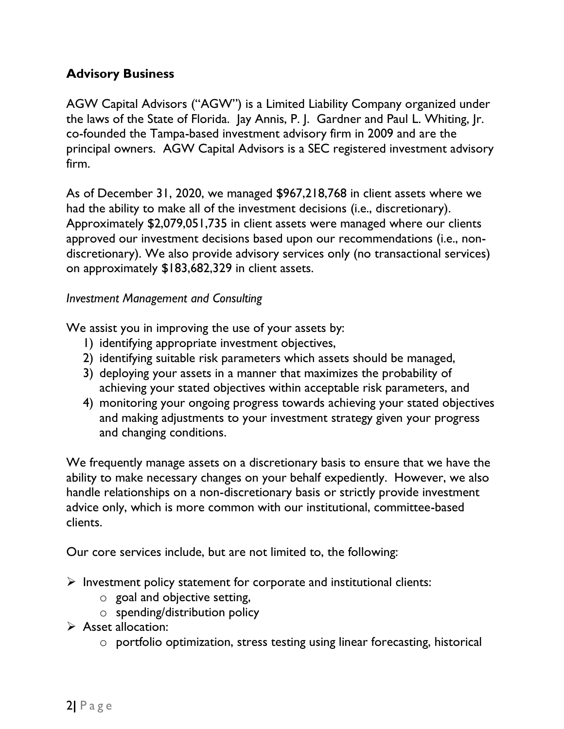#### <span id="page-3-0"></span>**Advisory Business**

AGW Capital Advisors ("AGW") is a Limited Liability Company organized under the laws of the State of Florida. Jay Annis, P. J. Gardner and Paul L. Whiting, Jr. co-founded the Tampa-based investment advisory firm in 2009 and are the principal owners. AGW Capital Advisors is a SEC registered investment advisory firm.

As of December 31, 2020, we managed \$967,218,768 in client assets where we had the ability to make all of the investment decisions (i.e., discretionary). Approximately \$2,079,051,735 in client assets were managed where our clients approved our investment decisions based upon our recommendations (i.e., nondiscretionary). We also provide advisory services only (no transactional services) on approximately \$183,682,329 in client assets.

#### <span id="page-3-1"></span>*Investment Management and Consulting*

We assist you in improving the use of your assets by:

- 1) identifying appropriate investment objectives,
- 2) identifying suitable risk parameters which assets should be managed,
- 3) deploying your assets in a manner that maximizes the probability of achieving your stated objectives within acceptable risk parameters, and
- 4) monitoring your ongoing progress towards achieving your stated objectives and making adjustments to your investment strategy given your progress and changing conditions.

We frequently manage assets on a discretionary basis to ensure that we have the ability to make necessary changes on your behalf expediently. However, we also handle relationships on a non-discretionary basis or strictly provide investment advice only, which is more common with our institutional, committee-based clients.

Our core services include, but are not limited to, the following:

- $\triangleright$  Investment policy statement for corporate and institutional clients:
	- $\circ$  goal and objective setting,
	- o spending/distribution policy
- ➢ Asset allocation:
	- o portfolio optimization, stress testing using linear forecasting, historical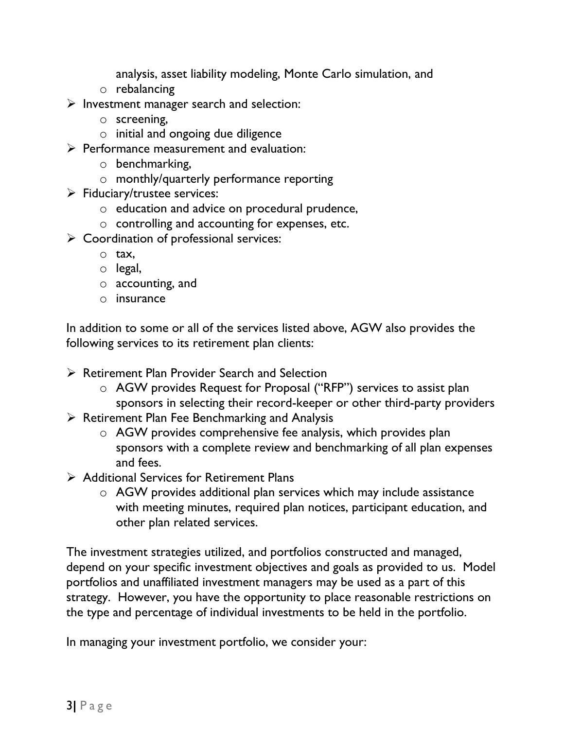analysis, asset liability modeling, Monte Carlo simulation, and

- o rebalancing
- ➢ Investment manager search and selection:
	- o screening,
	- o initial and ongoing due diligence
- $\triangleright$  Performance measurement and evaluation:
	- o benchmarking,
	- o monthly/quarterly performance reporting
- $\triangleright$  Fiduciary/trustee services:
	- o education and advice on procedural prudence,
	- o controlling and accounting for expenses, etc.
- ➢ Coordination of professional services:
	- o tax,
	- o legal,
	- o accounting, and
	- o insurance

In addition to some or all of the services listed above, AGW also provides the following services to its retirement plan clients:

- ➢ Retirement Plan Provider Search and Selection
	- o AGW provides Request for Proposal ("RFP") services to assist plan sponsors in selecting their record-keeper or other third-party providers
- $\triangleright$  Retirement Plan Fee Benchmarking and Analysis
	- o AGW provides comprehensive fee analysis, which provides plan sponsors with a complete review and benchmarking of all plan expenses and fees.
- ➢ Additional Services for Retirement Plans
	- o AGW provides additional plan services which may include assistance with meeting minutes, required plan notices, participant education, and other plan related services.

The investment strategies utilized, and portfolios constructed and managed, depend on your specific investment objectives and goals as provided to us. Model portfolios and unaffiliated investment managers may be used as a part of this strategy. However, you have the opportunity to place reasonable restrictions on the type and percentage of individual investments to be held in the portfolio.

In managing your investment portfolio, we consider your: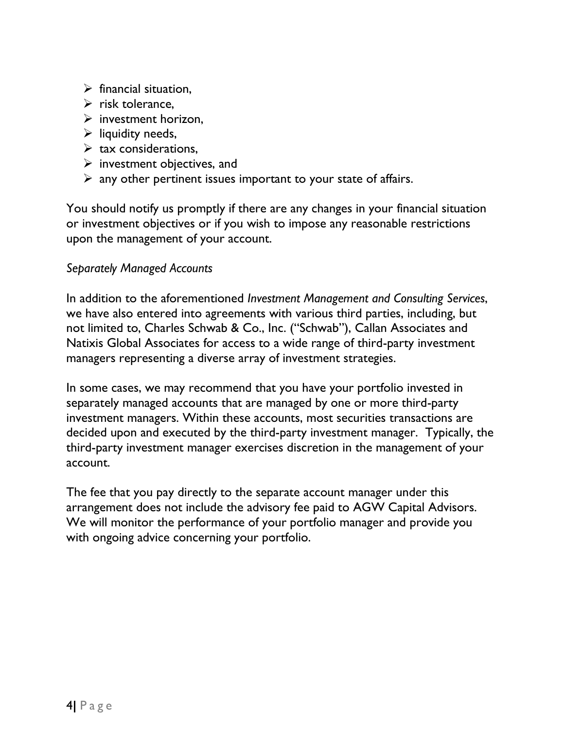- $\triangleright$  financial situation,
- $\triangleright$  risk tolerance.
- $\triangleright$  investment horizon.
- $\triangleright$  liquidity needs,
- $\triangleright$  tax considerations,
- $\triangleright$  investment objectives, and
- $\triangleright$  any other pertinent issues important to your state of affairs.

You should notify us promptly if there are any changes in your financial situation or investment objectives or if you wish to impose any reasonable restrictions upon the management of your account.

#### <span id="page-5-0"></span>*Separately Managed Accounts*

In addition to the aforementioned *Investment Management and Consulting Services*, we have also entered into agreements with various third parties, including, but not limited to, Charles Schwab & Co., Inc. ("Schwab"), Callan Associates and Natixis Global Associates for access to a wide range of third-party investment managers representing a diverse array of investment strategies.

In some cases, we may recommend that you have your portfolio invested in separately managed accounts that are managed by one or more third-party investment managers. Within these accounts, most securities transactions are decided upon and executed by the third-party investment manager. Typically, the third-party investment manager exercises discretion in the management of your account.

The fee that you pay directly to the separate account manager under this arrangement does not include the advisory fee paid to AGW Capital Advisors. We will monitor the performance of your portfolio manager and provide you with ongoing advice concerning your portfolio.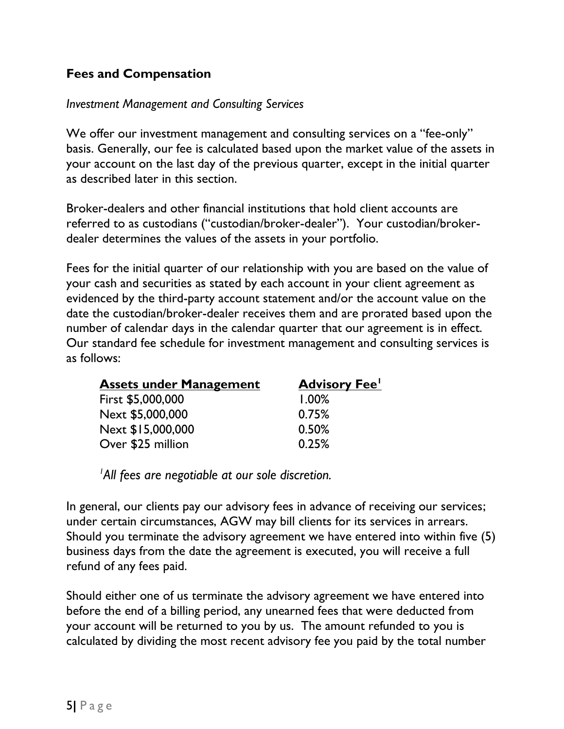### <span id="page-6-0"></span>**Fees and Compensation**

#### <span id="page-6-1"></span>*Investment Management and Consulting Services*

We offer our investment management and consulting services on a "fee-only" basis. Generally, our fee is calculated based upon the market value of the assets in your account on the last day of the previous quarter, except in the initial quarter as described later in this section.

Broker-dealers and other financial institutions that hold client accounts are referred to as custodians ("custodian/broker-dealer"). Your custodian/brokerdealer determines the values of the assets in your portfolio.

Fees for the initial quarter of our relationship with you are based on the value of your cash and securities as stated by each account in your client agreement as evidenced by the third-party account statement and/or the account value on the date the custodian/broker-dealer receives them and are prorated based upon the number of calendar days in the calendar quarter that our agreement is in effect. Our standard fee schedule for investment management and consulting services is as follows:

| <b>Assets under Management</b> | <b>Advisory Fee'</b> |
|--------------------------------|----------------------|
| First \$5,000,000              | 1.00%                |
| Next \$5,000,000               | 0.75%                |
| Next \$15,000,000              | 0.50%                |
| Over \$25 million              | 0.25%                |

*<sup>1</sup>All fees are negotiable at our sole discretion.* 

In general, our clients pay our advisory fees in advance of receiving our services; under certain circumstances, AGW may bill clients for its services in arrears. Should you terminate the advisory agreement we have entered into within five (5) business days from the date the agreement is executed, you will receive a full refund of any fees paid.

Should either one of us terminate the advisory agreement we have entered into before the end of a billing period, any unearned fees that were deducted from your account will be returned to you by us. The amount refunded to you is calculated by dividing the most recent advisory fee you paid by the total number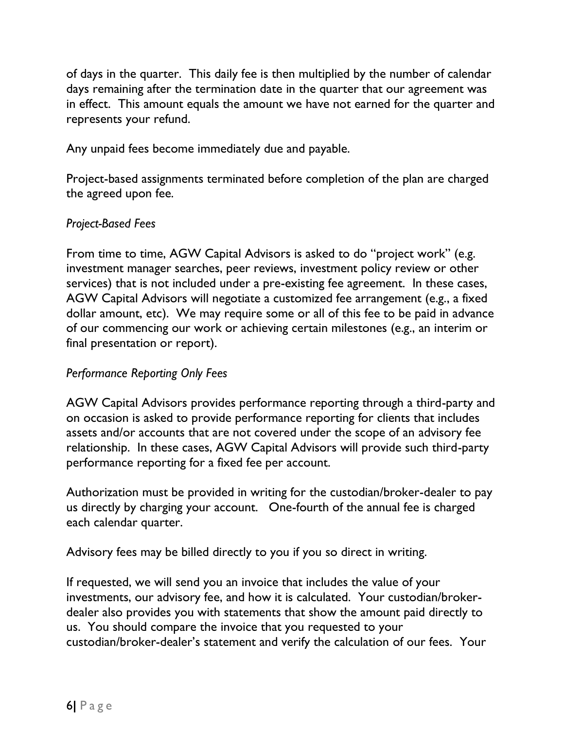of days in the quarter. This daily fee is then multiplied by the number of calendar days remaining after the termination date in the quarter that our agreement was in effect. This amount equals the amount we have not earned for the quarter and represents your refund.

Any unpaid fees become immediately due and payable.

Project-based assignments terminated before completion of the plan are charged the agreed upon fee.

#### <span id="page-7-0"></span>*Project-Based Fees*

From time to time, AGW Capital Advisors is asked to do "project work" (e.g. investment manager searches, peer reviews, investment policy review or other services) that is not included under a pre-existing fee agreement. In these cases, AGW Capital Advisors will negotiate a customized fee arrangement (e.g., a fixed dollar amount, etc). We may require some or all of this fee to be paid in advance of our commencing our work or achieving certain milestones (e.g., an interim or final presentation or report).

#### <span id="page-7-1"></span>*Performance Reporting Only Fees*

AGW Capital Advisors provides performance reporting through a third-party and on occasion is asked to provide performance reporting for clients that includes assets and/or accounts that are not covered under the scope of an advisory fee relationship. In these cases, AGW Capital Advisors will provide such third-party performance reporting for a fixed fee per account.

Authorization must be provided in writing for the custodian/broker-dealer to pay us directly by charging your account. One-fourth of the annual fee is charged each calendar quarter.

Advisory fees may be billed directly to you if you so direct in writing.

If requested, we will send you an invoice that includes the value of your investments, our advisory fee, and how it is calculated. Your custodian/brokerdealer also provides you with statements that show the amount paid directly to us. You should compare the invoice that you requested to your custodian/broker-dealer's statement and verify the calculation of our fees. Your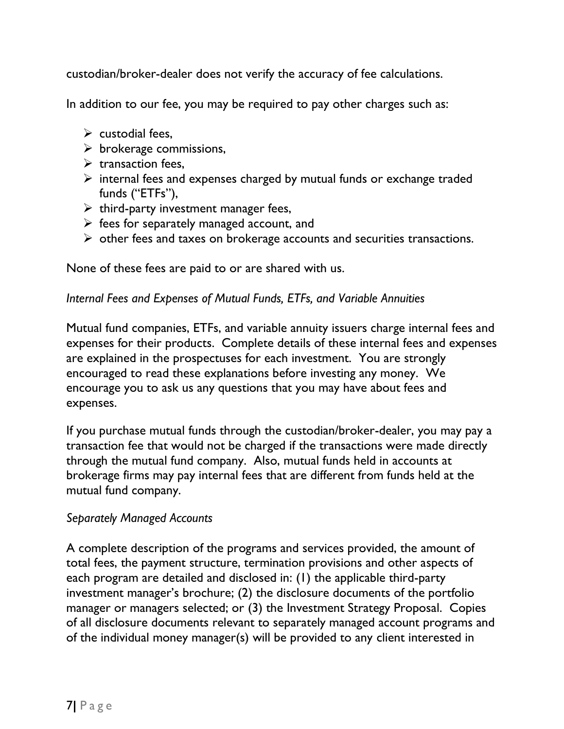custodian/broker-dealer does not verify the accuracy of fee calculations.

In addition to our fee, you may be required to pay other charges such as:

- $\triangleright$  custodial fees.
- $\triangleright$  brokerage commissions,
- $\triangleright$  transaction fees,
- ➢ internal fees and expenses charged by mutual funds or exchange traded funds ("ETFs"),
- $\triangleright$  third-party investment manager fees,
- $\triangleright$  fees for separately managed account, and
- ➢ other fees and taxes on brokerage accounts and securities transactions.

None of these fees are paid to or are shared with us.

### <span id="page-8-0"></span>*Internal Fees and Expenses of Mutual Funds, ETFs, and Variable Annuities*

Mutual fund companies, ETFs, and variable annuity issuers charge internal fees and expenses for their products. Complete details of these internal fees and expenses are explained in the prospectuses for each investment. You are strongly encouraged to read these explanations before investing any money. We encourage you to ask us any questions that you may have about fees and expenses.

If you purchase mutual funds through the custodian/broker-dealer, you may pay a transaction fee that would not be charged if the transactions were made directly through the mutual fund company. Also, mutual funds held in accounts at brokerage firms may pay internal fees that are different from funds held at the mutual fund company.

# <span id="page-8-1"></span>*Separately Managed Accounts*

A complete description of the programs and services provided, the amount of total fees, the payment structure, termination provisions and other aspects of each program are detailed and disclosed in: (1) the applicable third-party investment manager's brochure; (2) the disclosure documents of the portfolio manager or managers selected; or (3) the Investment Strategy Proposal. Copies of all disclosure documents relevant to separately managed account programs and of the individual money manager(s) will be provided to any client interested in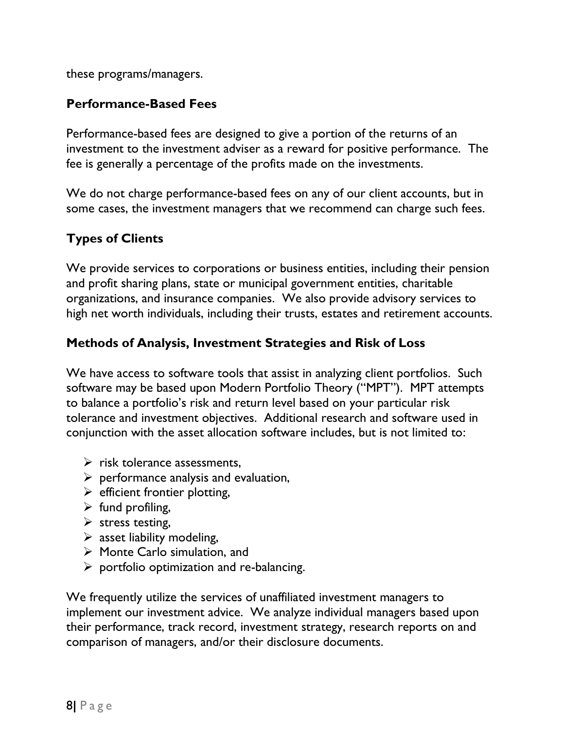these programs/managers.

### <span id="page-9-0"></span>**Performance-Based Fees**

Performance-based fees are designed to give a portion of the [returns](http://www.investorwords.com/4244/return.html) of an [investment](http://www.investorwords.com/2599/investment.html) to the investment [adviser](http://www.investorwords.com/2937/manager.html) as a [reward](http://www.businessdictionary.com/definition/reward.html) for [positive](http://www.investorwords.com/10659/positive.html) [performance.](http://www.investorwords.com/3665/performance.html) The fee is generally a [percentage](http://www.businessdictionary.com/definition/percentage.html) of the [profits](http://www.investorwords.com/3880/profit.html) made [on](http://www.investorwords.com/9376/cut_down_on.html) the investments.

We do not charge performance-based fees on any of our client accounts, but in some cases, the investment managers that we recommend can charge such fees.

# <span id="page-9-1"></span>**Types of Clients**

We provide services to corporations or business entities, including their pension and profit sharing plans, state or municipal government entities, charitable organizations, and insurance companies. We also provide advisory services to high net worth individuals, including their trusts, estates and retirement accounts.

# <span id="page-9-2"></span>**Methods of Analysis, Investment Strategies and Risk of Loss**

We have access to software tools that assist in analyzing client portfolios. Such software may be based upon Modern Portfolio Theory ("MPT"). MPT attempts to balance a portfolio's risk and return level based on your particular risk tolerance and investment objectives. Additional research and software used in conjunction with the asset allocation software includes, but is not limited to:

- $\triangleright$  risk tolerance assessments,
- $\triangleright$  performance analysis and evaluation,
- $\triangleright$  efficient frontier plotting,
- $\triangleright$  fund profiling,
- $\triangleright$  stress testing,
- $\triangleright$  asset liability modeling,
- ➢ Monte Carlo simulation, and
- $\triangleright$  portfolio optimization and re-balancing.

We frequently utilize the services of unaffiliated investment managers to implement our investment advice. We analyze individual managers based upon their performance, track record, investment strategy, research reports on and comparison of managers, and/or their disclosure documents.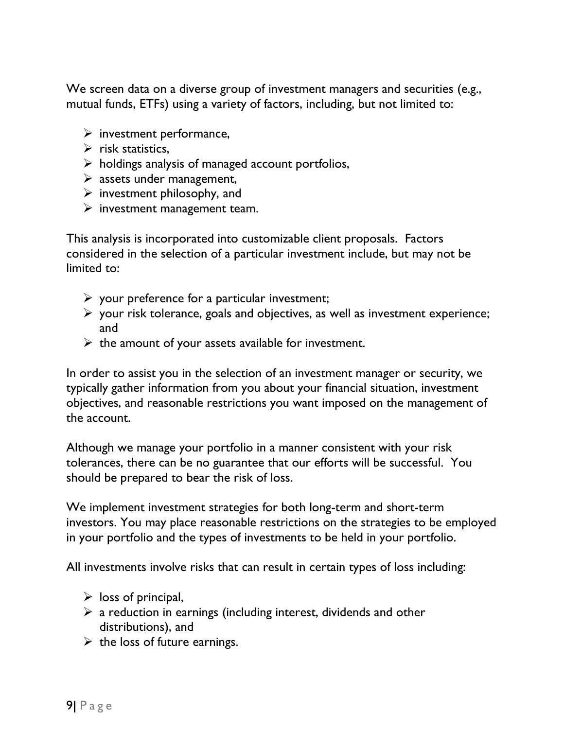We screen data on a diverse group of investment managers and securities (e.g., mutual funds, ETFs) using a variety of factors, including, but not limited to:

- $\triangleright$  investment performance,
- $\triangleright$  risk statistics.
- $\triangleright$  holdings analysis of managed account portfolios,
- $\triangleright$  assets under management,
- $\triangleright$  investment philosophy, and
- $\triangleright$  investment management team.

This analysis is incorporated into customizable client proposals. Factors considered in the selection of a particular investment include, but may not be limited to:

- $\triangleright$  your preference for a particular investment;
- $\triangleright$  your risk tolerance, goals and objectives, as well as investment experience; and
- $\triangleright$  the amount of your assets available for investment.

In order to assist you in the selection of an investment manager or security, we typically gather information from you about your financial situation, investment objectives, and reasonable restrictions you want imposed on the management of the account.

Although we manage your portfolio in a manner consistent with your risk tolerances, there can be no guarantee that our efforts will be successful. You should be prepared to bear the risk of loss.

We implement investment strategies for both long-term and short-term investors. You may place reasonable restrictions on the strategies to be employed in your portfolio and the types of investments to be held in your portfolio.

All investments involve risks that can result in certain types of loss including:

- $\triangleright$  loss of principal,
- $\triangleright$  a reduction in earnings (including interest, dividends and other distributions), and
- $\triangleright$  the loss of future earnings.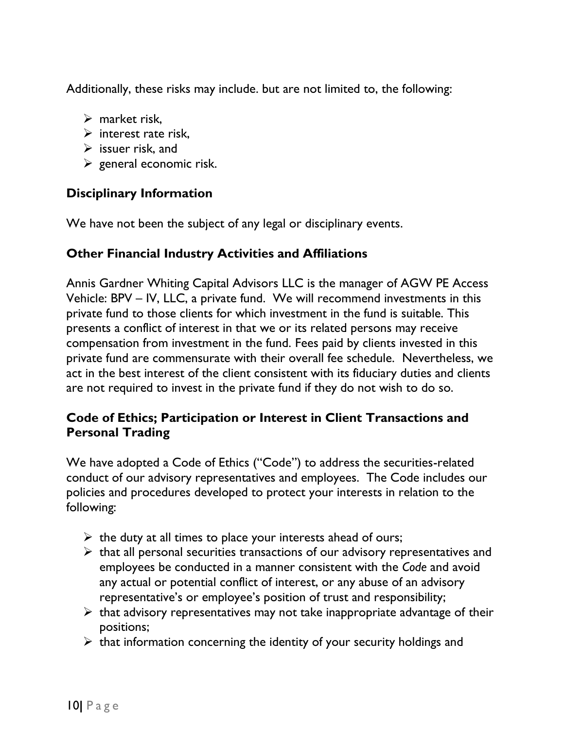Additionally, these risks may include. but are not limited to, the following:

- $\triangleright$  market risk.
- $\triangleright$  interest rate risk.
- $\triangleright$  issuer risk, and
- $\triangleright$  general economic risk.

# <span id="page-11-0"></span>**Disciplinary Information**

We have not been the subject of any legal or disciplinary events.

#### <span id="page-11-1"></span>**Other Financial Industry Activities and Affiliations**

<span id="page-11-2"></span>Annis Gardner Whiting Capital Advisors LLC is the manager of AGW PE Access Vehicle: BPV – IV, LLC, a private fund. We will recommend investments in this private fund to those clients for which investment in the fund is suitable. This presents a conflict of interest in that we or its related persons may receive compensation from investment in the fund. Fees paid by clients invested in this private fund are commensurate with their overall fee schedule. Nevertheless, we act in the best interest of the client consistent with its fiduciary duties and clients are not required to invest in the private fund if they do not wish to do so.

# **Code of Ethics; Participation or Interest in Client Transactions and Personal Trading**

We have adopted a Code of Ethics ("Code") to address the securities-related conduct of our advisory representatives and employees. The Code includes our policies and procedures developed to protect your interests in relation to the following:

- $\triangleright$  the duty at all times to place your interests ahead of ours;
- $\triangleright$  that all personal securities transactions of our advisory representatives and employees be conducted in a manner consistent with the *Code* and avoid any actual or potential conflict of interest, or any abuse of an advisory representative's or employee's position of trust and responsibility;
- $\triangleright$  that advisory representatives may not take inappropriate advantage of their positions;
- $\triangleright$  that information concerning the identity of your security holdings and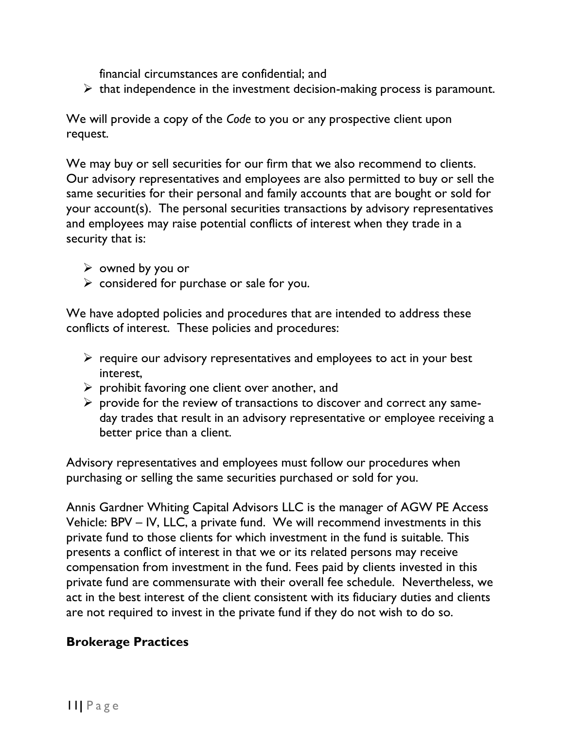financial circumstances are confidential; and

 $\triangleright$  that independence in the investment decision-making process is paramount.

We will provide a copy of the *Code* to you or any prospective client upon request.

We may buy or sell securities for our firm that we also recommend to clients. Our advisory representatives and employees are also permitted to buy or sell the same securities for their personal and family accounts that are bought or sold for your account(s). The personal securities transactions by advisory representatives and employees may raise potential conflicts of interest when they trade in a security that is:

- $\triangleright$  owned by you or
- $\triangleright$  considered for purchase or sale for you.

We have adopted policies and procedures that are intended to address these conflicts of interest. These policies and procedures:

- $\triangleright$  require our advisory representatives and employees to act in your best interest,
- $\triangleright$  prohibit favoring one client over another, and
- $\triangleright$  provide for the review of transactions to discover and correct any sameday trades that result in an advisory representative or employee receiving a better price than a client.

Advisory representatives and employees must follow our procedures when purchasing or selling the same securities purchased or sold for you.

Annis Gardner Whiting Capital Advisors LLC is the manager of AGW PE Access Vehicle: BPV – IV, LLC, a private fund. We will recommend investments in this private fund to those clients for which investment in the fund is suitable. This presents a conflict of interest in that we or its related persons may receive compensation from investment in the fund. Fees paid by clients invested in this private fund are commensurate with their overall fee schedule. Nevertheless, we act in the best interest of the client consistent with its fiduciary duties and clients are not required to invest in the private fund if they do not wish to do so.

#### <span id="page-12-0"></span>**Brokerage Practices**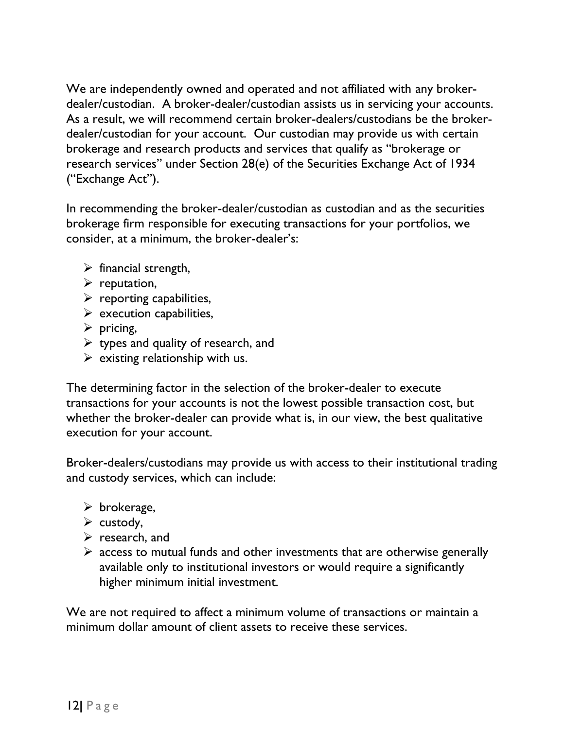We are independently owned and operated and not affiliated with any brokerdealer/custodian. A broker-dealer/custodian assists us in servicing your accounts. As a result, we will recommend certain broker-dealers/custodians be the brokerdealer/custodian for your account. Our custodian may provide us with certain brokerage and research products and services that qualify as "brokerage or research services" under Section 28(e) of the Securities Exchange Act of 1934 ("Exchange Act").

In recommending the broker-dealer/custodian as custodian and as the securities brokerage firm responsible for executing transactions for your portfolios, we consider, at a minimum, the broker-dealer's:

- $\triangleright$  financial strength,
- $\triangleright$  reputation,
- $\triangleright$  reporting capabilities,
- $\triangleright$  execution capabilities,
- $\triangleright$  pricing,
- $\triangleright$  types and quality of research, and
- $\triangleright$  existing relationship with us.

The determining factor in the selection of the broker-dealer to execute transactions for your accounts is not the lowest possible transaction cost, but whether the broker-dealer can provide what is, in our view, the best qualitative execution for your account.

Broker-dealers/custodians may provide us with access to their institutional trading and custody services, which can include:

- $\triangleright$  brokerage,
- $\triangleright$  custody,
- $\triangleright$  research, and
- $\triangleright$  access to mutual funds and other investments that are otherwise generally available only to institutional investors or would require a significantly higher minimum initial investment.

We are not required to affect a minimum volume of transactions or maintain a minimum dollar amount of client assets to receive these services.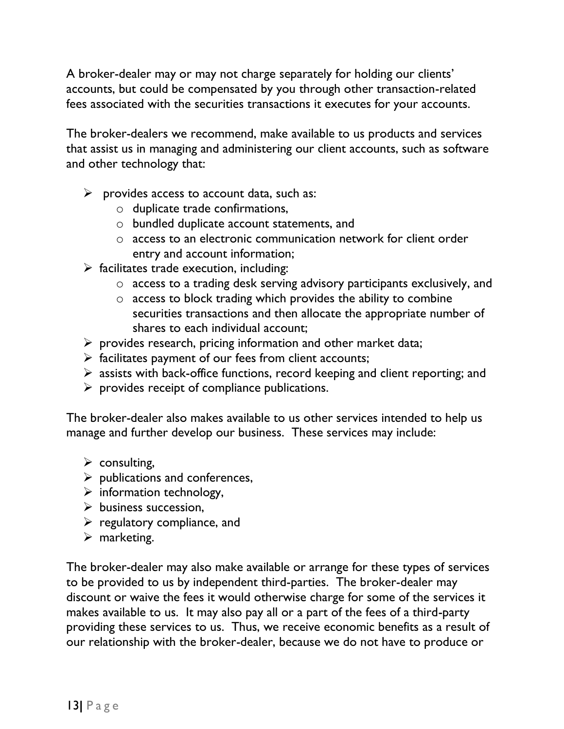A broker-dealer may or may not charge separately for holding our clients' accounts, but could be compensated by you through other transaction-related fees associated with the securities transactions it executes for your accounts.

The broker-dealers we recommend, make available to us products and services that assist us in managing and administering our client accounts, such as software and other technology that:

- $\triangleright$  provides access to account data, such as:
	- o duplicate trade confirmations,
	- o bundled duplicate account statements, and
	- o access to an electronic communication network for client order entry and account information;
- $\triangleright$  facilitates trade execution, including:
	- o access to a trading desk serving advisory participants exclusively, and
	- o access to block trading which provides the ability to combine securities transactions and then allocate the appropriate number of shares to each individual account;
- $\triangleright$  provides research, pricing information and other market data;
- $\triangleright$  facilitates payment of our fees from client accounts;
- ➢ assists with back-office functions, record keeping and client reporting; and
- $\triangleright$  provides receipt of compliance publications.

The broker-dealer also makes available to us other services intended to help us manage and further develop our business. These services may include:

- $\triangleright$  consulting,
- $\triangleright$  publications and conferences,
- $\triangleright$  information technology,
- $\triangleright$  business succession.
- $\triangleright$  regulatory compliance, and
- $\triangleright$  marketing.

The broker-dealer may also make available or arrange for these types of services to be provided to us by independent third-parties. The broker-dealer may discount or waive the fees it would otherwise charge for some of the services it makes available to us. It may also pay all or a part of the fees of a third-party providing these services to us. Thus, we receive economic benefits as a result of our relationship with the broker-dealer, because we do not have to produce or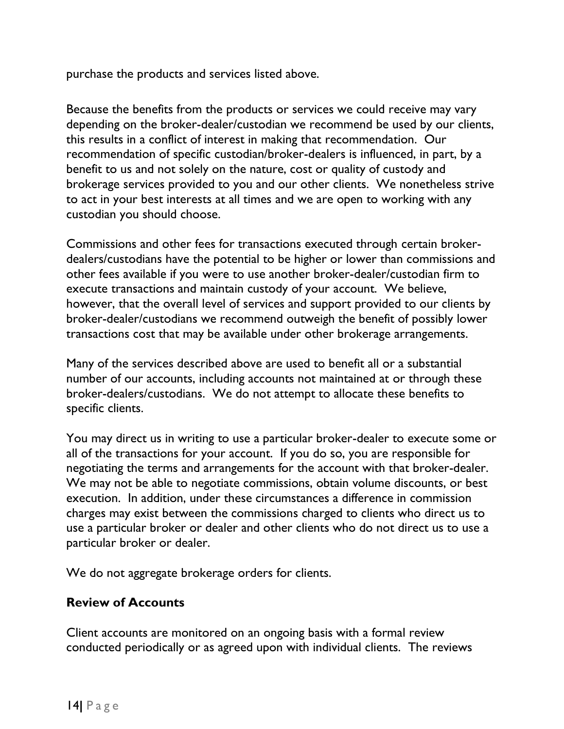purchase the products and services listed above.

Because the benefits from the products or services we could receive may vary depending on the broker-dealer/custodian we recommend be used by our clients, this results in a conflict of interest in making that recommendation. Our recommendation of specific custodian/broker-dealers is influenced, in part, by a benefit to us and not solely on the nature, cost or quality of custody and brokerage services provided to you and our other clients. We nonetheless strive to act in your best interests at all times and we are open to working with any custodian you should choose.

Commissions and other fees for transactions executed through certain brokerdealers/custodians have the potential to be higher or lower than commissions and other fees available if you were to use another broker-dealer/custodian firm to execute transactions and maintain custody of your account. We believe, however, that the overall level of services and support provided to our clients by broker-dealer/custodians we recommend outweigh the benefit of possibly lower transactions cost that may be available under other brokerage arrangements.

Many of the services described above are used to benefit all or a substantial number of our accounts, including accounts not maintained at or through these broker-dealers/custodians. We do not attempt to allocate these benefits to specific clients.

You may direct us in writing to use a particular broker-dealer to execute some or all of the transactions for your account. If you do so, you are responsible for negotiating the terms and arrangements for the account with that broker-dealer. We may not be able to negotiate commissions, obtain volume discounts, or best execution. In addition, under these circumstances a difference in commission charges may exist between the commissions charged to clients who direct us to use a particular broker or dealer and other clients who do not direct us to use a particular broker or dealer.

We do not aggregate brokerage orders for clients.

#### <span id="page-15-0"></span>**Review of Accounts**

Client accounts are monitored on an ongoing basis with a formal review conducted periodically or as agreed upon with individual clients. The reviews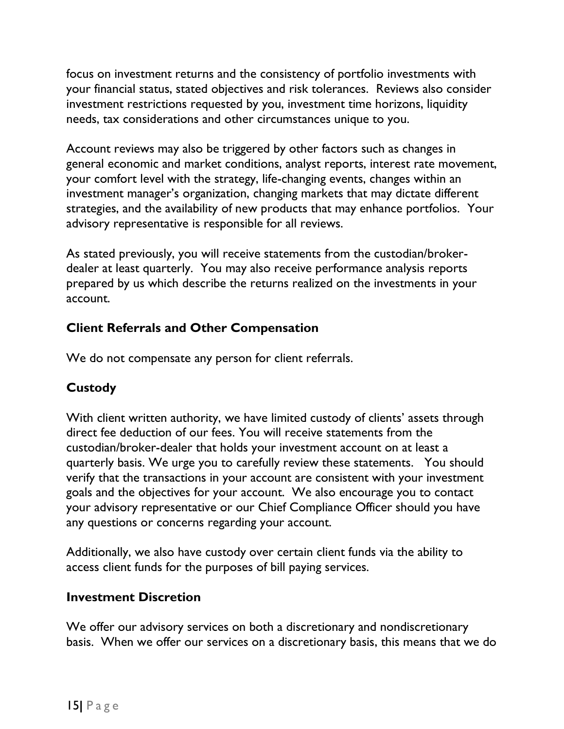focus on investment returns and the consistency of portfolio investments with your financial status, stated objectives and risk tolerances. Reviews also consider investment restrictions requested by you, investment time horizons, liquidity needs, tax considerations and other circumstances unique to you.

Account reviews may also be triggered by other factors such as changes in general economic and market conditions, analyst reports, interest rate movement, your comfort level with the strategy, life-changing events, changes within an investment manager's organization, changing markets that may dictate different strategies, and the availability of new products that may enhance portfolios. Your advisory representative is responsible for all reviews.

As stated previously, you will receive statements from the custodian/brokerdealer at least quarterly. You may also receive performance analysis reports prepared by us which describe the returns realized on the investments in your account.

# <span id="page-16-0"></span>**Client Referrals and Other Compensation**

We do not compensate any person for client referrals.

# <span id="page-16-1"></span>**Custody**

With client written authority, we have limited custody of clients' assets through direct fee deduction of our fees. You will receive statements from the custodian/broker-dealer that holds your investment account on at least a quarterly basis. We urge you to carefully review these statements. You should verify that the transactions in your account are consistent with your investment goals and the objectives for your account. We also encourage you to contact your advisory representative or our Chief Compliance Officer should you have any questions or concerns regarding your account.

Additionally, we also have custody over certain client funds via the ability to access client funds for the purposes of bill paying services.

#### <span id="page-16-2"></span>**Investment Discretion**

We offer our advisory services on both a discretionary and nondiscretionary basis. When we offer our services on a discretionary basis, this means that we do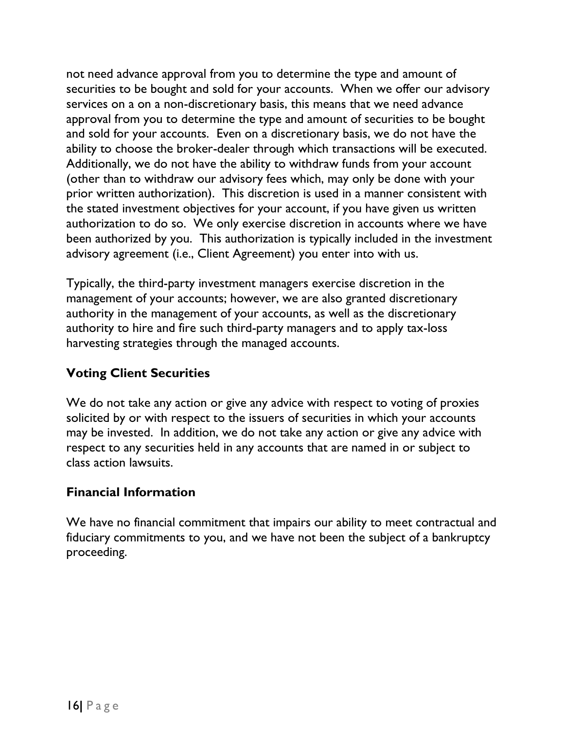not need advance approval from you to determine the type and amount of securities to be bought and sold for your accounts. When we offer our advisory services on a on a non-discretionary basis, this means that we need advance approval from you to determine the type and amount of securities to be bought and sold for your accounts. Even on a discretionary basis, we do not have the ability to choose the broker-dealer through which transactions will be executed. Additionally, we do not have the ability to withdraw funds from your account (other than to withdraw our advisory fees which, may only be done with your prior written authorization). This discretion is used in a manner consistent with the stated investment objectives for your account, if you have given us written authorization to do so. We only exercise discretion in accounts where we have been authorized by you. This authorization is typically included in the investment advisory agreement (i.e., Client Agreement) you enter into with us.

Typically, the third-party investment managers exercise discretion in the management of your accounts; however, we are also granted discretionary authority in the management of your accounts, as well as the discretionary authority to hire and fire such third-party managers and to apply tax-loss harvesting strategies through the managed accounts.

#### <span id="page-17-0"></span>**Voting Client Securities**

We do not take any action or give any advice with respect to voting of proxies solicited by or with respect to the issuers of securities in which your accounts may be invested. In addition, we do not take any action or give any advice with respect to any securities held in any accounts that are named in or subject to class action lawsuits.

#### <span id="page-17-1"></span>**Financial Information**

We have no financial commitment that impairs our ability to meet contractual and fiduciary commitments to you, and we have not been the subject of a bankruptcy proceeding.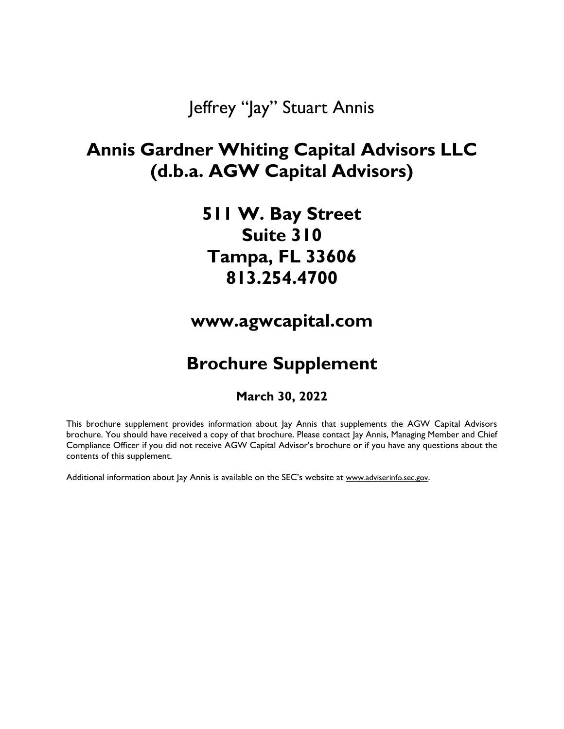Jeffrey "Jay" Stuart Annis

# <span id="page-18-1"></span><span id="page-18-0"></span>**Annis Gardner Whiting Capital Advisors LLC (d.b.a. AGW Capital Advisors)**

**511 W. Bay Street Suite 310 Tampa, FL 33606 813.254.4700**

**www.agwcapital.com**

# **Brochure Supplement**

#### **March 30, 2022**

This brochure supplement provides information about Jay Annis that supplements the AGW Capital Advisors brochure. You should have received a copy of that brochure. Please contact Jay Annis, Managing Member and Chief Compliance Officer if you did not receive AGW Capital Advisor's brochure or if you have any questions about the contents of this supplement.

Additional information about Jay Annis is available on the SEC's website at [www.adviserinfo.sec.gov](http://www.adviserinfo.sec.gov/).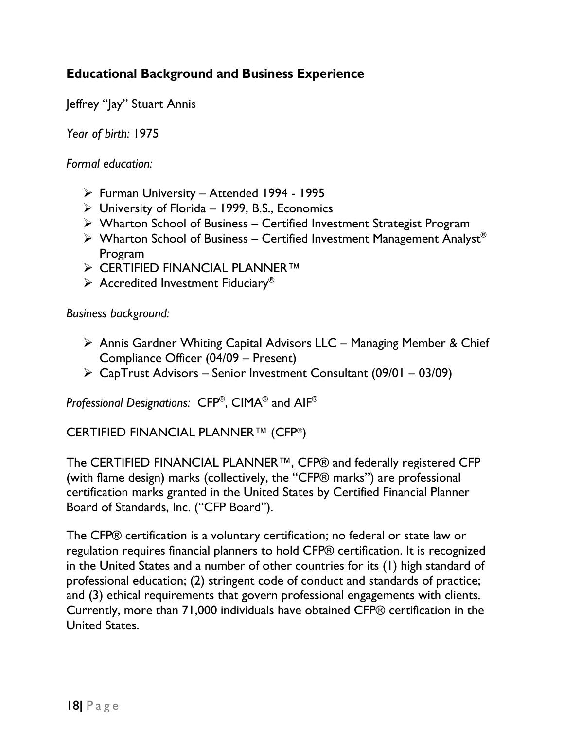### **Educational Background and Business Experience**

Jeffrey "Jay" Stuart Annis

*Year of birth:* 1975

*Formal education:*

- ➢ Furman University Attended 1994 1995
- $\triangleright$  University of Florida 1999, B.S., Economics
- ➢ Wharton School of Business Certified Investment Strategist Program
- $\triangleright$  Wharton School of Business Certified Investment Management Analyst® Program
- ➢ CERTIFIED FINANCIAL PLANNER™
- $\triangleright$  Accredited Investment Fiduciary<sup>®</sup>

*Business background:* 

- ➢ Annis Gardner Whiting Capital Advisors LLC Managing Member & Chief Compliance Officer (04/09 – Present)
- $\triangleright$  CapTrust Advisors Senior Investment Consultant (09/01 03/09)

*Professional Designations:* CFP® , CIMA® and AIF®

#### CERTIFIED FINANCIAL PLANNER™ (CFP®)

The CERTIFIED FINANCIAL PLANNER™, CFP® and federally registered CFP (with flame design) marks (collectively, the "CFP® marks") are professional certification marks granted in the United States by Certified Financial Planner Board of Standards, Inc. ("CFP Board").

The CFP® certification is a voluntary certification; no federal or state law or regulation requires financial planners to hold CFP® certification. It is recognized in the United States and a number of other countries for its (1) high standard of professional education; (2) stringent code of conduct and standards of practice; and (3) ethical requirements that govern professional engagements with clients. Currently, more than 71,000 individuals have obtained CFP® certification in the United States.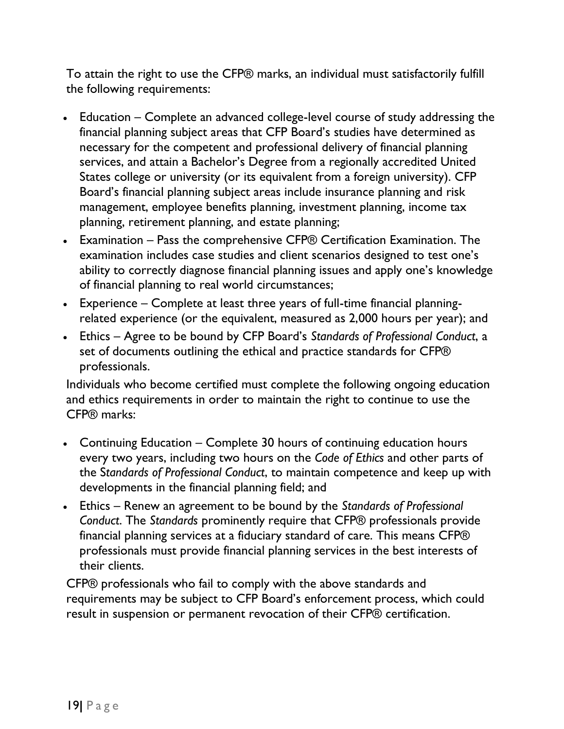To attain the right to use the CFP® marks, an individual must satisfactorily fulfill the following requirements:

- Education Complete an advanced college-level course of study addressing the financial planning subject areas that CFP Board's studies have determined as necessary for the competent and professional delivery of financial planning services, and attain a Bachelor's Degree from a regionally accredited United States college or university (or its equivalent from a foreign university). CFP Board's financial planning subject areas include insurance planning and risk management, employee benefits planning, investment planning, income tax planning, retirement planning, and estate planning;
- Examination Pass the comprehensive CFP® Certification Examination. The examination includes case studies and client scenarios designed to test one's ability to correctly diagnose financial planning issues and apply one's knowledge of financial planning to real world circumstances;
- Experience Complete at least three years of full-time financial planningrelated experience (or the equivalent, measured as 2,000 hours per year); and
- Ethics Agree to be bound by CFP Board's *Standards of Professional Conduct*, a set of documents outlining the ethical and practice standards for CFP® professionals.

Individuals who become certified must complete the following ongoing education and ethics requirements in order to maintain the right to continue to use the CFP® marks:

- Continuing Education Complete 30 hours of continuing education hours every two years, including two hours on the *Code of Ethics* and other parts of the S*tandards of Professional Conduct*, to maintain competence and keep up with developments in the financial planning field; and
- Ethics Renew an agreement to be bound by the *Standards of Professional Conduct*. The *Standards* prominently require that CFP® professionals provide financial planning services at a fiduciary standard of care. This means CFP® professionals must provide financial planning services in the best interests of their clients.

CFP® professionals who fail to comply with the above standards and requirements may be subject to CFP Board's enforcement process, which could result in suspension or permanent revocation of their CFP® certification.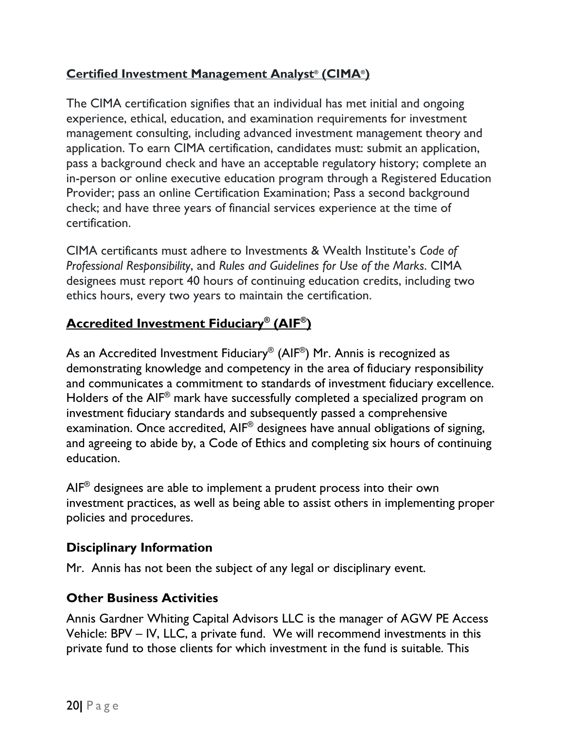# **Certified Investment Management Analyst® (CIMA® )**

The CIMA certification signifies that an individual has met initial and ongoing experience, ethical, education, and examination requirements for investment management consulting, including advanced investment management theory and application. To earn CIMA certification, candidates must: submit an application, pass a background check and have an acceptable regulatory history; complete an in-person or online executive education program through a Registered Education Provider; pass an online Certification Examination; Pass a second background check; and have three years of financial services experience at the time of certification.

CIMA certificants must adhere to Investments & Wealth Institute's *Code of Professional Responsibility*, and *Rules and Guidelines for Use of the Marks*. CIMA designees must report 40 hours of continuing education credits, including two ethics hours, every two years to maintain the certification.

# **Accredited Investment Fiduciary® (AIF® )**

As an Accredited Investment Fiduciary $^\circledast$  (AIF $^\circledast$ ) Mr. Annis is recognized as demonstrating knowledge and competency in the area of fiduciary responsibility and communicates a commitment to standards of investment fiduciary excellence. Holders of the AIF® mark have successfully completed a specialized program on investment fiduciary standards and subsequently passed a comprehensive examination. Once accredited, AIF® designees have annual obligations of signing, and agreeing to abide by, a Code of Ethics and completing six hours of continuing education.

 $\mathsf{AIF}^{\circledast}$  designees are able to implement a prudent process into their own investment practices, as well as being able to assist others in implementing proper policies and procedures.

# **Disciplinary Information**

Mr. Annis has not been the subject of any legal or disciplinary event.

# **Other Business Activities**

Annis Gardner Whiting Capital Advisors LLC is the manager of AGW PE Access Vehicle: BPV – IV, LLC, a private fund. We will recommend investments in this private fund to those clients for which investment in the fund is suitable. This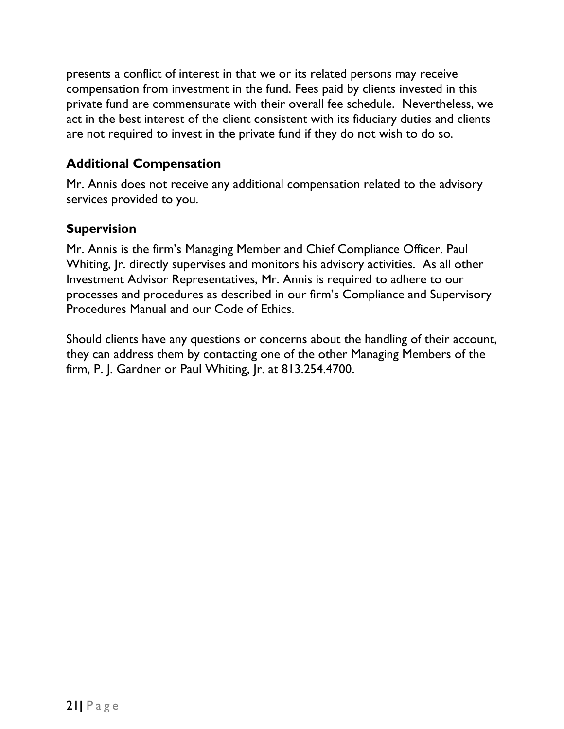presents a conflict of interest in that we or its related persons may receive compensation from investment in the fund. Fees paid by clients invested in this private fund are commensurate with their overall fee schedule. Nevertheless, we act in the best interest of the client consistent with its fiduciary duties and clients are not required to invest in the private fund if they do not wish to do so.

#### **Additional Compensation**

Mr. Annis does not receive any additional compensation related to the advisory services provided to you.

#### **Supervision**

Mr. Annis is the firm's Managing Member and Chief Compliance Officer. Paul Whiting,  $\mathbf{r}$ , directly supervises and monitors his advisory activities. As all other Investment Advisor Representatives, Mr. Annis is required to adhere to our processes and procedures as described in our firm's Compliance and Supervisory Procedures Manual and our Code of Ethics.

Should clients have any questions or concerns about the handling of their account, they can address them by contacting one of the other Managing Members of the firm, P. J. Gardner or Paul Whiting, Jr. at 813.254.4700.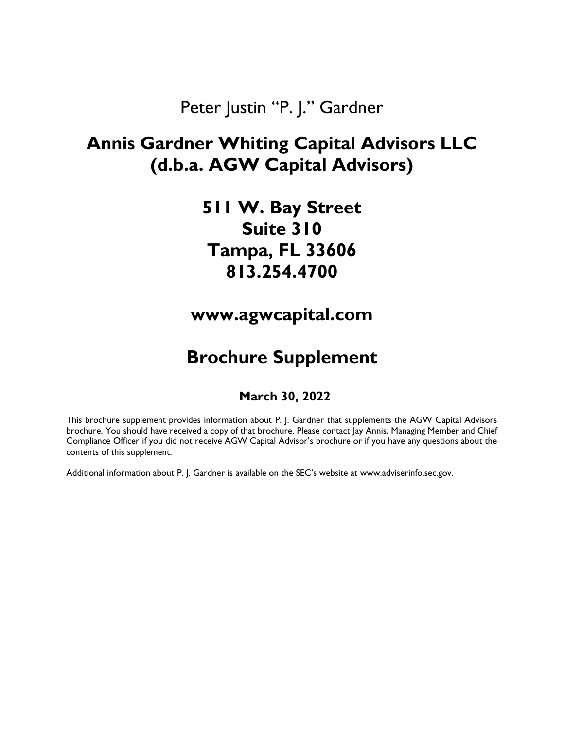# Peter Justin "P. J." Gardner

# <span id="page-23-0"></span>**Annis Gardner Whiting Capital Advisors LLC (d.b.a. AGW Capital Advisors)**

**511 W. Bay Street Suite 310 Tampa, FL 33606 813.254.4700**

**www.agwcapital.com**

# **Brochure Supplement**

#### **March 30, 2022**

This brochure supplement provides information about P. J. Gardner that supplements the AGW Capital Advisors brochure. You should have received a copy of that brochure. Please contact Jay Annis, Managing Member and Chief Compliance Officer if you did not receive AGW Capital Advisor's brochure or if you have any questions about the contents of this supplement.

Additional information about P. J. Gardner is available on the SEC's website at [www.adviserinfo.sec.gov.](http://www.adviserinfo.sec.gov/)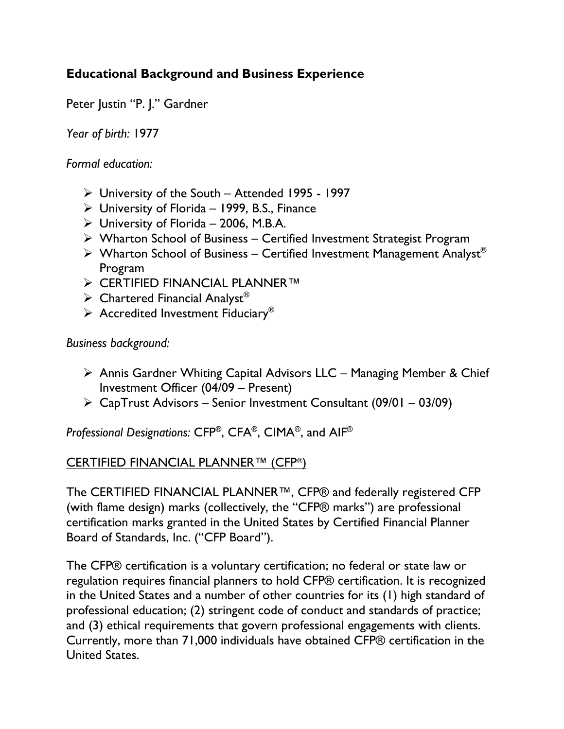# **Educational Background and Business Experience**

Peter Justin "P. J." Gardner

*Year of birth:* 1977

*Formal education:*

- ➢ University of the South Attended 1995 1997
- $\triangleright$  University of Florida 1999, B.S., Finance
- $\triangleright$  University of Florida 2006, M.B.A.
- ➢ Wharton School of Business Certified Investment Strategist Program
- $\triangleright$  Wharton School of Business Certified Investment Management Analyst® Program
- ➢ CERTIFIED FINANCIAL PLANNER™
- $\triangleright$  Chartered Financial Analyst<sup>®</sup>
- $\triangleright$  Accredited Investment Fiduciary<sup>®</sup>

*Business background:* 

- ➢ Annis Gardner Whiting Capital Advisors LLC Managing Member & Chief Investment Officer (04/09 – Present)
- ➢ CapTrust Advisors Senior Investment Consultant (09/01 03/09)

*Professional Designations:* CFP® , CFA® , CIMA® , and AIF®

#### CERTIFIED FINANCIAL PLANNER™ (CFP®)

The CERTIFIED FINANCIAL PLANNER™, CFP® and federally registered CFP (with flame design) marks (collectively, the "CFP® marks") are professional certification marks granted in the United States by Certified Financial Planner Board of Standards, Inc. ("CFP Board").

The CFP® certification is a voluntary certification; no federal or state law or regulation requires financial planners to hold CFP® certification. It is recognized in the United States and a number of other countries for its (1) high standard of professional education; (2) stringent code of conduct and standards of practice; and (3) ethical requirements that govern professional engagements with clients. Currently, more than 71,000 individuals have obtained CFP® certification in the United States.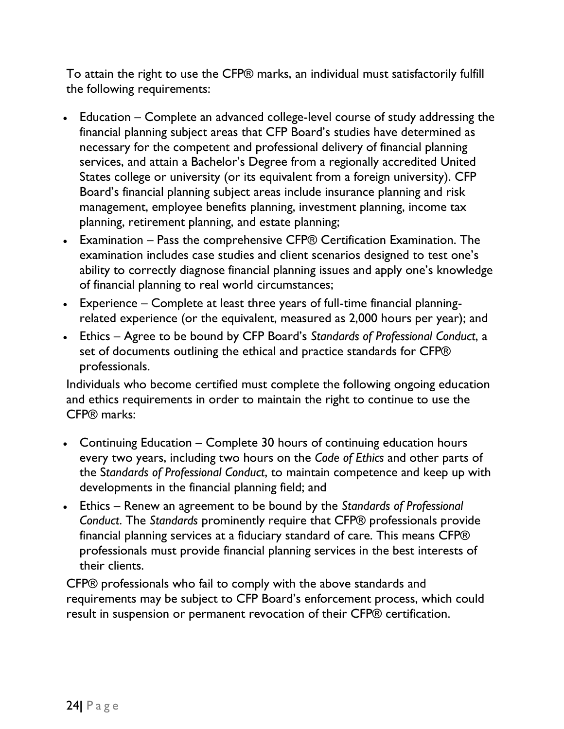To attain the right to use the CFP® marks, an individual must satisfactorily fulfill the following requirements:

- Education Complete an advanced college-level course of study addressing the financial planning subject areas that CFP Board's studies have determined as necessary for the competent and professional delivery of financial planning services, and attain a Bachelor's Degree from a regionally accredited United States college or university (or its equivalent from a foreign university). CFP Board's financial planning subject areas include insurance planning and risk management, employee benefits planning, investment planning, income tax planning, retirement planning, and estate planning;
- Examination Pass the comprehensive CFP® Certification Examination. The examination includes case studies and client scenarios designed to test one's ability to correctly diagnose financial planning issues and apply one's knowledge of financial planning to real world circumstances;
- Experience Complete at least three years of full-time financial planningrelated experience (or the equivalent, measured as 2,000 hours per year); and
- Ethics Agree to be bound by CFP Board's *Standards of Professional Conduct*, a set of documents outlining the ethical and practice standards for CFP® professionals.

Individuals who become certified must complete the following ongoing education and ethics requirements in order to maintain the right to continue to use the CFP® marks:

- Continuing Education Complete 30 hours of continuing education hours every two years, including two hours on the *Code of Ethics* and other parts of the S*tandards of Professional Conduct*, to maintain competence and keep up with developments in the financial planning field; and
- Ethics Renew an agreement to be bound by the *Standards of Professional Conduct*. The *Standards* prominently require that CFP® professionals provide financial planning services at a fiduciary standard of care. This means CFP® professionals must provide financial planning services in the best interests of their clients.

CFP® professionals who fail to comply with the above standards and requirements may be subject to CFP Board's enforcement process, which could result in suspension or permanent revocation of their CFP® certification.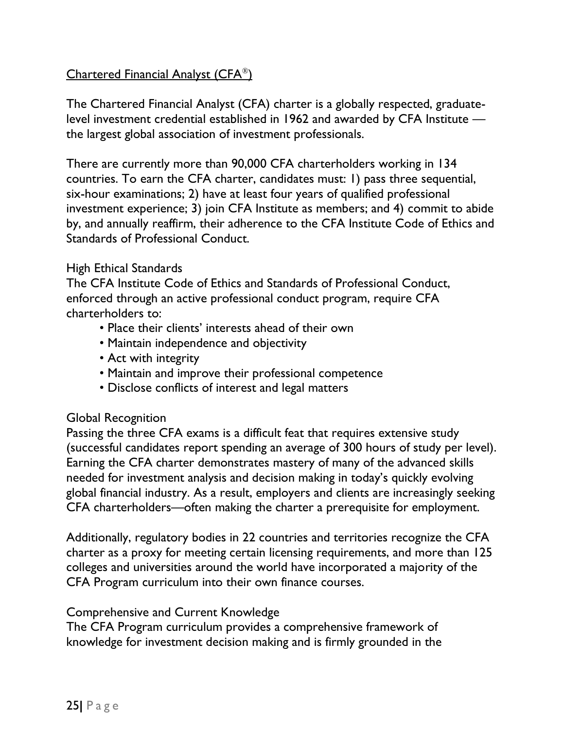#### Chartered Financial Analyst (CFA®)

The Chartered Financial Analyst (CFA) charter is a globally respected, graduatelevel investment credential established in 1962 and awarded by CFA Institute the largest global association of investment professionals.

There are currently more than 90,000 CFA charterholders working in 134 countries. To earn the CFA charter, candidates must: 1) pass three sequential, six-hour examinations; 2) have at least four years of qualified professional investment experience; 3) join CFA Institute as members; and 4) commit to abide by, and annually reaffirm, their adherence to the CFA Institute Code of Ethics and Standards of Professional Conduct.

#### High Ethical Standards

The CFA Institute Code of Ethics and Standards of Professional Conduct, enforced through an active professional conduct program, require CFA charterholders to:

- Place their clients' interests ahead of their own
- Maintain independence and objectivity
- Act with integrity
- Maintain and improve their professional competence
- Disclose conflicts of interest and legal matters

#### Global Recognition

Passing the three CFA exams is a difficult feat that requires extensive study (successful candidates report spending an average of 300 hours of study per level). Earning the CFA charter demonstrates mastery of many of the advanced skills needed for investment analysis and decision making in today's quickly evolving global financial industry. As a result, employers and clients are increasingly seeking CFA charterholders—often making the charter a prerequisite for employment.

Additionally, regulatory bodies in 22 countries and territories recognize the CFA charter as a proxy for meeting certain licensing requirements, and more than 125 colleges and universities around the world have incorporated a majority of the CFA Program curriculum into their own finance courses.

#### Comprehensive and Current Knowledge

The CFA Program curriculum provides a comprehensive framework of knowledge for investment decision making and is firmly grounded in the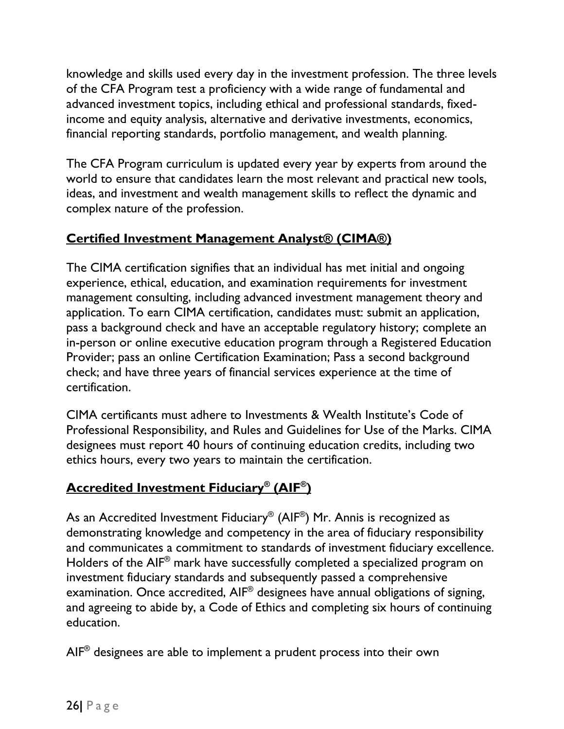knowledge and skills used every day in the investment profession. The three levels of the CFA Program test a proficiency with a wide range of fundamental and advanced investment topics, including ethical and professional standards, fixedincome and equity analysis, alternative and derivative investments, economics, financial reporting standards, portfolio management, and wealth planning.

The CFA Program curriculum is updated every year by experts from around the world to ensure that candidates learn the most relevant and practical new tools, ideas, and investment and wealth management skills to reflect the dynamic and complex nature of the profession.

# **Certified Investment Management Analyst® (CIMA®)**

The CIMA certification signifies that an individual has met initial and ongoing experience, ethical, education, and examination requirements for investment management consulting, including advanced investment management theory and application. To earn CIMA certification, candidates must: submit an application, pass a background check and have an acceptable regulatory history; complete an in-person or online executive education program through a Registered Education Provider; pass an online Certification Examination; Pass a second background check; and have three years of financial services experience at the time of certification.

CIMA certificants must adhere to Investments & Wealth Institute's Code of Professional Responsibility, and Rules and Guidelines for Use of the Marks. CIMA designees must report 40 hours of continuing education credits, including two ethics hours, every two years to maintain the certification.

# **Accredited Investment Fiduciary® (AIF® )**

As an Accredited Investment Fiduciary $^\circledast$  (AIF $^\circledast$ ) Mr. Annis is recognized as demonstrating knowledge and competency in the area of fiduciary responsibility and communicates a commitment to standards of investment fiduciary excellence. Holders of the AIF® mark have successfully completed a specialized program on investment fiduciary standards and subsequently passed a comprehensive examination. Once accredited, AIF® designees have annual obligations of signing, and agreeing to abide by, a Code of Ethics and completing six hours of continuing education.

 $\mathsf{AIF}^{\circledast}$  designees are able to implement a prudent process into their own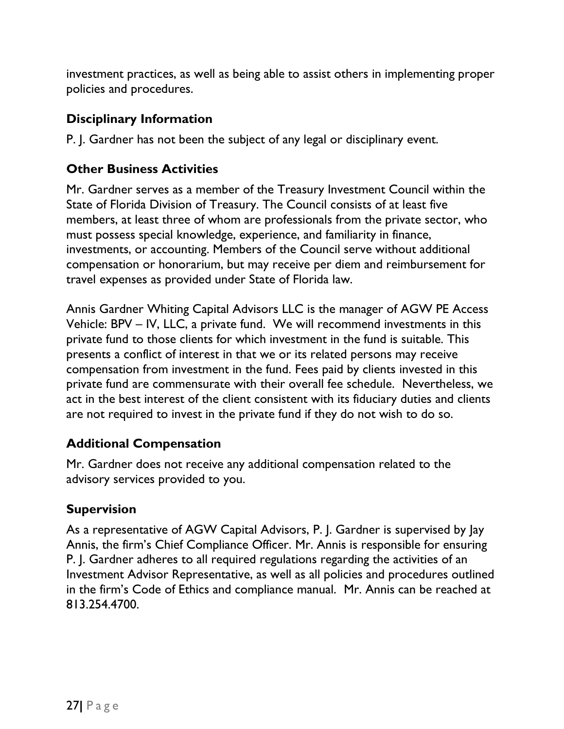investment practices, as well as being able to assist others in implementing proper policies and procedures.

### **Disciplinary Information**

P. J. Gardner has not been the subject of any legal or disciplinary event.

# **Other Business Activities**

Mr. Gardner serves as a member of the Treasury Investment Council within the State of Florida Division of Treasury. The Council consists of at least five members, at least three of whom are professionals from the private sector, who must possess special knowledge, experience, and familiarity in finance, investments, or accounting. Members of the Council serve without additional compensation or honorarium, but may receive per diem and reimbursement for travel expenses as provided under State of Florida law.

Annis Gardner Whiting Capital Advisors LLC is the manager of AGW PE Access Vehicle: BPV – IV, LLC, a private fund. We will recommend investments in this private fund to those clients for which investment in the fund is suitable. This presents a conflict of interest in that we or its related persons may receive compensation from investment in the fund. Fees paid by clients invested in this private fund are commensurate with their overall fee schedule. Nevertheless, we act in the best interest of the client consistent with its fiduciary duties and clients are not required to invest in the private fund if they do not wish to do so.

# **Additional Compensation**

Mr. Gardner does not receive any additional compensation related to the advisory services provided to you.

# **Supervision**

As a representative of AGW Capital Advisors, P. J. Gardner is supervised by Jay Annis, the firm's Chief Compliance Officer. Mr. Annis is responsible for ensuring P. J. Gardner adheres to all required regulations regarding the activities of an Investment Advisor Representative, as well as all policies and procedures outlined in the firm's Code of Ethics and compliance manual. Mr. Annis can be reached at 813.254.4700.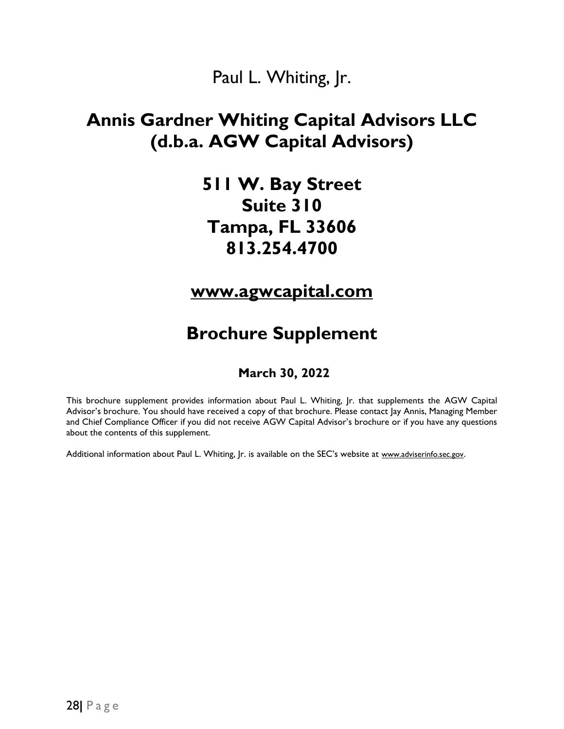# Paul L. Whiting, Jr.

# <span id="page-29-0"></span>**Annis Gardner Whiting Capital Advisors LLC (d.b.a. AGW Capital Advisors)**

**511 W. Bay Street Suite 310 Tampa, FL 33606 813.254.4700**

**[www.agwcapital.com](http://www.agwcapital.com/)**

# **Brochure Supplement**

#### **March 30, 2022**

This brochure supplement provides information about Paul L. Whiting, Jr. that supplements the AGW Capital Advisor's brochure. You should have received a copy of that brochure. Please contact Jay Annis, Managing Member and Chief Compliance Officer if you did not receive AGW Capital Advisor's brochure or if you have any questions about the contents of this supplement.

Additional information about Paul L. Whiting, Jr. is available on the SEC's website at [www.adviserinfo.sec.gov](http://www.adviserinfo.sec.gov/).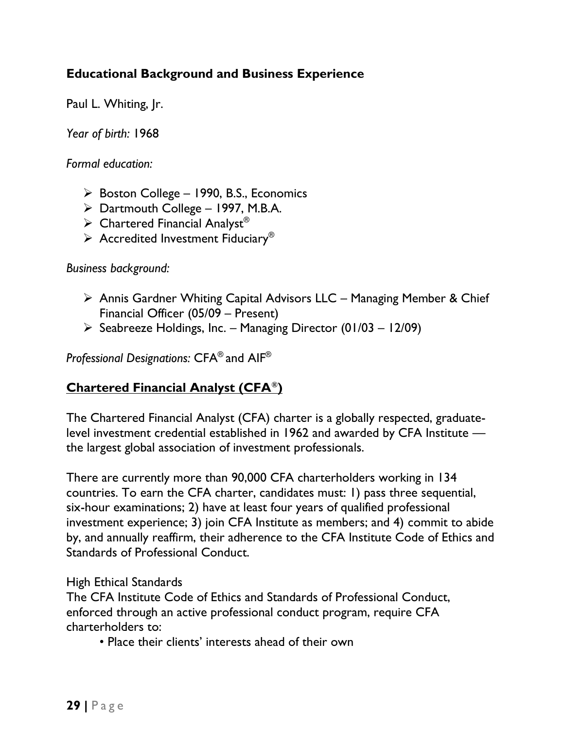### **Educational Background and Business Experience**

Paul L. Whiting, Jr.

*Year of birth:* 1968

*Formal education:*

- ➢ Boston College 1990, B.S., Economics
- $\triangleright$  Dartmouth College 1997, M.B.A.
- $\triangleright$  Chartered Financial Analyst®
- $\triangleright$  Accredited Investment Fiduciary®

*Business background:* 

- ➢ Annis Gardner Whiting Capital Advisors LLC Managing Member & Chief Financial Officer (05/09 – Present)
- $\triangleright$  Seabreeze Holdings, Inc. Managing Director (01/03 12/09)

*Professional Designations:* CFA® and AIF®

# **Chartered Financial Analyst (CFA®)**

The Chartered Financial Analyst (CFA) charter is a globally respected, graduatelevel investment credential established in 1962 and awarded by CFA Institute the largest global association of investment professionals.

There are currently more than 90,000 CFA charterholders working in 134 countries. To earn the CFA charter, candidates must: 1) pass three sequential, six-hour examinations; 2) have at least four years of qualified professional investment experience; 3) join CFA Institute as members; and 4) commit to abide by, and annually reaffirm, their adherence to the CFA Institute Code of Ethics and Standards of Professional Conduct.

#### High Ethical Standards

The CFA Institute Code of Ethics and Standards of Professional Conduct, enforced through an active professional conduct program, require CFA charterholders to:

• Place their clients' interests ahead of their own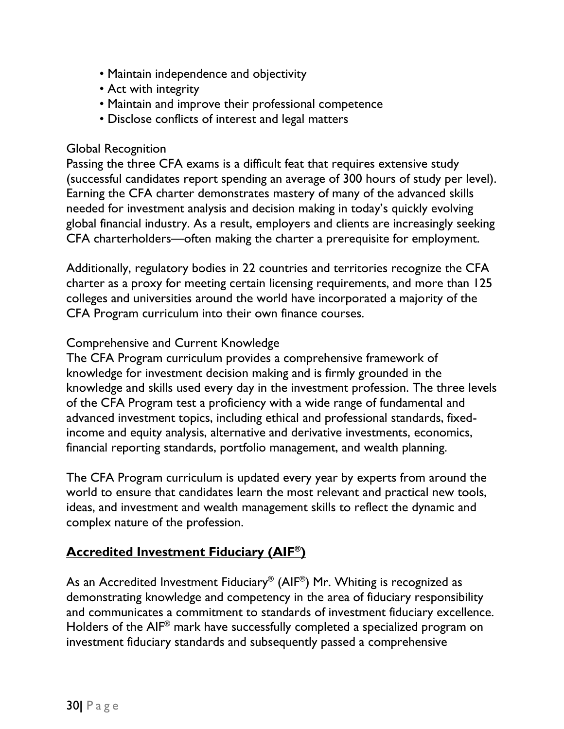- Maintain independence and objectivity
- Act with integrity
- Maintain and improve their professional competence
- Disclose conflicts of interest and legal matters

#### Global Recognition

Passing the three CFA exams is a difficult feat that requires extensive study (successful candidates report spending an average of 300 hours of study per level). Earning the CFA charter demonstrates mastery of many of the advanced skills needed for investment analysis and decision making in today's quickly evolving global financial industry. As a result, employers and clients are increasingly seeking CFA charterholders—often making the charter a prerequisite for employment.

Additionally, regulatory bodies in 22 countries and territories recognize the CFA charter as a proxy for meeting certain licensing requirements, and more than 125 colleges and universities around the world have incorporated a majority of the CFA Program curriculum into their own finance courses.

#### Comprehensive and Current Knowledge

The CFA Program curriculum provides a comprehensive framework of knowledge for investment decision making and is firmly grounded in the knowledge and skills used every day in the investment profession. The three levels of the CFA Program test a proficiency with a wide range of fundamental and advanced investment topics, including ethical and professional standards, fixedincome and equity analysis, alternative and derivative investments, economics, financial reporting standards, portfolio management, and wealth planning.

The CFA Program curriculum is updated every year by experts from around the world to ensure that candidates learn the most relevant and practical new tools, ideas, and investment and wealth management skills to reflect the dynamic and complex nature of the profession.

# **Accredited Investment Fiduciary (AIF® )**

As an Accredited Investment Fiduciary® (AIF®) Mr. Whiting is recognized as demonstrating knowledge and competency in the area of fiduciary responsibility and communicates a commitment to standards of investment fiduciary excellence. Holders of the AIF® mark have successfully completed a specialized program on investment fiduciary standards and subsequently passed a comprehensive